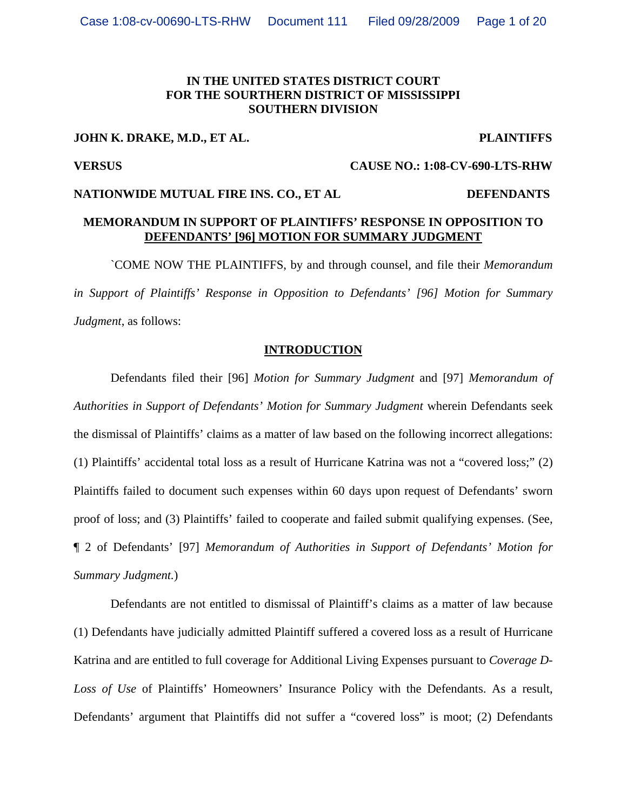#### **IN THE UNITED STATES DISTRICT COURT FOR THE SOURTHERN DISTRICT OF MISSISSIPPI SOUTHERN DIVISION**

#### **JOHN K. DRAKE, M.D., ET AL. PLAINTIFFS**

**VERSUS CAUSE NO.: 1:08-CV-690-LTS-RHW** 

# **NATIONWIDE MUTUAL FIRE INS. CO., ET AL DEFENDANTS**

# **MEMORANDUM IN SUPPORT OF PLAINTIFFS' RESPONSE IN OPPOSITION TO DEFENDANTS' [96] MOTION FOR SUMMARY JUDGMENT**

 `COME NOW THE PLAINTIFFS, by and through counsel, and file their *Memorandum in Support of Plaintiffs' Response in Opposition to Defendants' [96] Motion for Summary Judgment*, as follows:

#### **INTRODUCTION**

 Defendants filed their [96] *Motion for Summary Judgment* and [97] *Memorandum of Authorities in Support of Defendants' Motion for Summary Judgment* wherein Defendants seek the dismissal of Plaintiffs' claims as a matter of law based on the following incorrect allegations: (1) Plaintiffs' accidental total loss as a result of Hurricane Katrina was not a "covered loss;" (2) Plaintiffs failed to document such expenses within 60 days upon request of Defendants' sworn proof of loss; and (3) Plaintiffs' failed to cooperate and failed submit qualifying expenses. (See, ¶ 2 of Defendants' [97] *Memorandum of Authorities in Support of Defendants' Motion for Summary Judgment.*)

 Defendants are not entitled to dismissal of Plaintiff's claims as a matter of law because (1) Defendants have judicially admitted Plaintiff suffered a covered loss as a result of Hurricane Katrina and are entitled to full coverage for Additional Living Expenses pursuant to *Coverage D-Loss of Use* of Plaintiffs' Homeowners' Insurance Policy with the Defendants. As a result, Defendants' argument that Plaintiffs did not suffer a "covered loss" is moot; (2) Defendants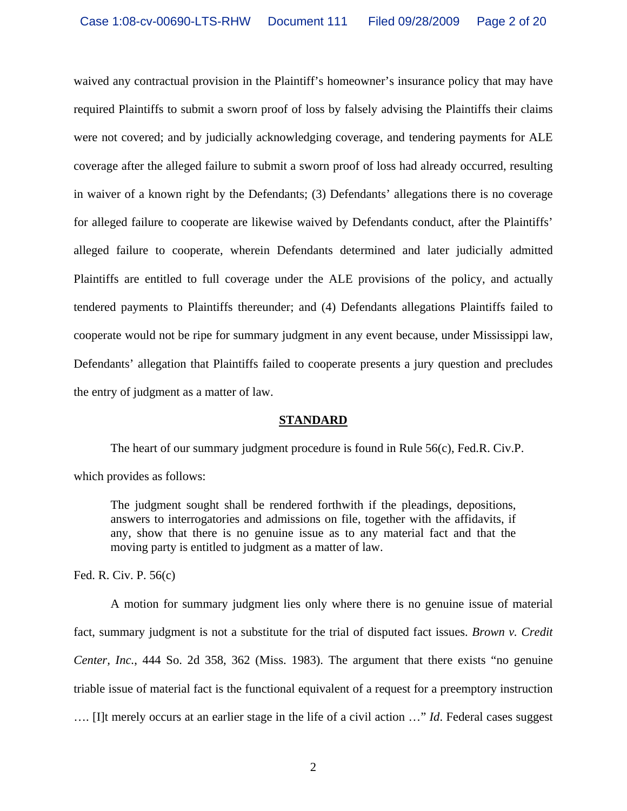waived any contractual provision in the Plaintiff's homeowner's insurance policy that may have required Plaintiffs to submit a sworn proof of loss by falsely advising the Plaintiffs their claims were not covered; and by judicially acknowledging coverage, and tendering payments for ALE coverage after the alleged failure to submit a sworn proof of loss had already occurred, resulting in waiver of a known right by the Defendants; (3) Defendants' allegations there is no coverage for alleged failure to cooperate are likewise waived by Defendants conduct, after the Plaintiffs' alleged failure to cooperate, wherein Defendants determined and later judicially admitted Plaintiffs are entitled to full coverage under the ALE provisions of the policy, and actually tendered payments to Plaintiffs thereunder; and (4) Defendants allegations Plaintiffs failed to cooperate would not be ripe for summary judgment in any event because, under Mississippi law, Defendants' allegation that Plaintiffs failed to cooperate presents a jury question and precludes the entry of judgment as a matter of law.

#### **STANDARD**

The heart of our summary judgment procedure is found in Rule 56(c), Fed.R. Civ.P.

which provides as follows:

The judgment sought shall be rendered forthwith if the pleadings, depositions, answers to interrogatories and admissions on file, together with the affidavits, if any, show that there is no genuine issue as to any material fact and that the moving party is entitled to judgment as a matter of law.

Fed. R. Civ. P. 56(c)

A motion for summary judgment lies only where there is no genuine issue of material fact, summary judgment is not a substitute for the trial of disputed fact issues. *Brown v. Credit Center, Inc.*, 444 So. 2d 358, 362 (Miss. 1983). The argument that there exists "no genuine triable issue of material fact is the functional equivalent of a request for a preemptory instruction …. [I]t merely occurs at an earlier stage in the life of a civil action …" *Id*. Federal cases suggest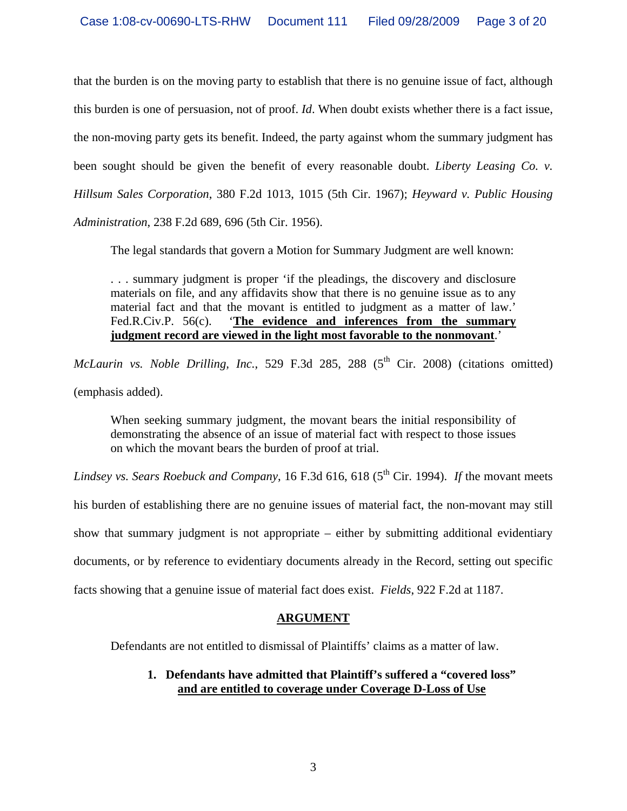that the burden is on the moving party to establish that there is no genuine issue of fact, although this burden is one of persuasion, not of proof. *Id*. When doubt exists whether there is a fact issue, the non-moving party gets its benefit. Indeed, the party against whom the summary judgment has been sought should be given the benefit of every reasonable doubt. *Liberty Leasing Co. v. Hillsum Sales Corporation*, 380 F.2d 1013, 1015 (5th Cir. 1967); *Heyward v. Public Housing Administration*, 238 F.2d 689, 696 (5th Cir. 1956).

The legal standards that govern a Motion for Summary Judgment are well known:

. . . summary judgment is proper 'if the pleadings, the discovery and disclosure materials on file, and any affidavits show that there is no genuine issue as to any material fact and that the movant is entitled to judgment as a matter of law.' Fed.R.Civ.P. 56(c). '**The evidence and inferences from the summary judgment record are viewed in the light most favorable to the nonmovant**.'

*McLaurin vs. Noble Drilling, Inc.*, 529 F.3d 285, 288 (5<sup>th</sup> Cir. 2008) (citations omitted) (emphasis added).

When seeking summary judgment, the movant bears the initial responsibility of demonstrating the absence of an issue of material fact with respect to those issues on which the movant bears the burden of proof at trial.

*Lindsey vs. Sears Roebuck and Company*, 16 F.3d 616, 618 (5<sup>th</sup> Cir. 1994). *If* the movant meets

his burden of establishing there are no genuine issues of material fact, the non-movant may still

show that summary judgment is not appropriate – either by submitting additional evidentiary

documents, or by reference to evidentiary documents already in the Record, setting out specific

facts showing that a genuine issue of material fact does exist. *Fields*, 922 F.2d at 1187.

# **ARGUMENT**

Defendants are not entitled to dismissal of Plaintiffs' claims as a matter of law.

# **1. Defendants have admitted that Plaintiff's suffered a "covered loss" and are entitled to coverage under Coverage D-Loss of Use**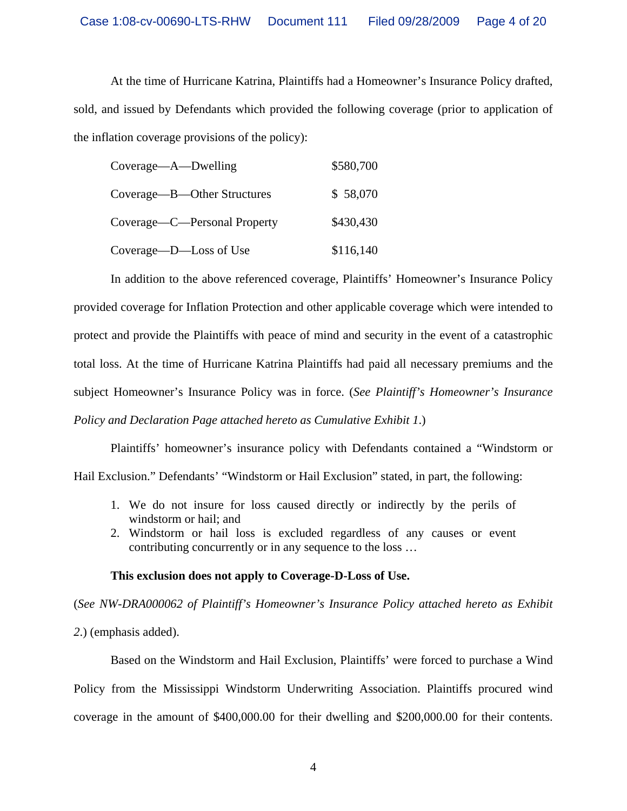At the time of Hurricane Katrina, Plaintiffs had a Homeowner's Insurance Policy drafted, sold, and issued by Defendants which provided the following coverage (prior to application of the inflation coverage provisions of the policy):

| Coverage—A—Dwelling          | \$580,700 |
|------------------------------|-----------|
| Coverage—B—Other Structures  | \$58,070  |
| Coverage—C—Personal Property | \$430,430 |
| Coverage—D—Loss of Use       | \$116,140 |

 In addition to the above referenced coverage, Plaintiffs' Homeowner's Insurance Policy provided coverage for Inflation Protection and other applicable coverage which were intended to protect and provide the Plaintiffs with peace of mind and security in the event of a catastrophic total loss. At the time of Hurricane Katrina Plaintiffs had paid all necessary premiums and the subject Homeowner's Insurance Policy was in force. (*See Plaintiff's Homeowner's Insurance Policy and Declaration Page attached hereto as Cumulative Exhibit 1*.)

Plaintiffs' homeowner's insurance policy with Defendants contained a "Windstorm or

Hail Exclusion." Defendants' "Windstorm or Hail Exclusion" stated, in part, the following:

- 1. We do not insure for loss caused directly or indirectly by the perils of windstorm or hail; and
- 2. Windstorm or hail loss is excluded regardless of any causes or event contributing concurrently or in any sequence to the loss …

### **This exclusion does not apply to Coverage-D-Loss of Use.**

(*See NW-DRA000062 of Plaintiff's Homeowner's Insurance Policy attached hereto as Exhibit* 

*2*.) (emphasis added).

 Based on the Windstorm and Hail Exclusion, Plaintiffs' were forced to purchase a Wind Policy from the Mississippi Windstorm Underwriting Association. Plaintiffs procured wind coverage in the amount of \$400,000.00 for their dwelling and \$200,000.00 for their contents.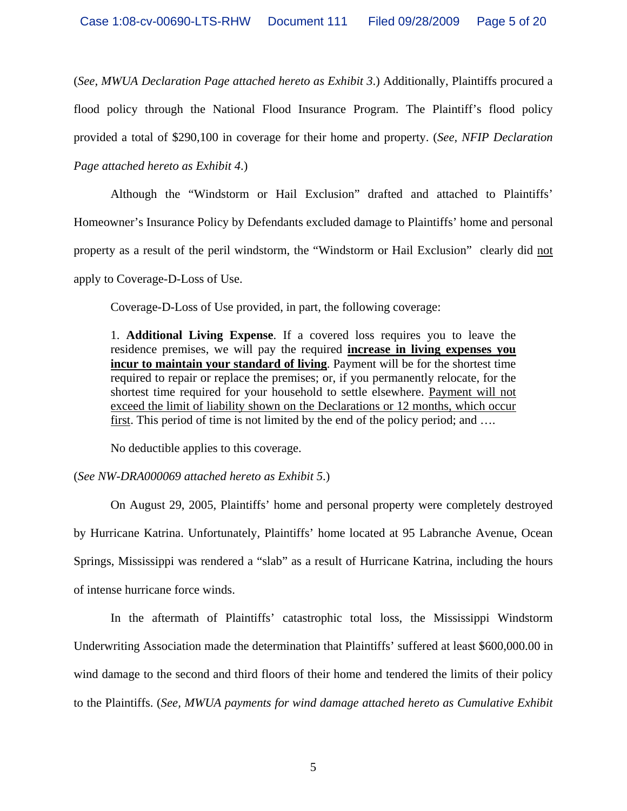(*See, MWUA Declaration Page attached hereto as Exhibit 3*.) Additionally, Plaintiffs procured a flood policy through the National Flood Insurance Program. The Plaintiff's flood policy provided a total of \$290,100 in coverage for their home and property. (*See, NFIP Declaration* 

*Page attached hereto as Exhibit 4*.)

 Although the "Windstorm or Hail Exclusion" drafted and attached to Plaintiffs' Homeowner's Insurance Policy by Defendants excluded damage to Plaintiffs' home and personal property as a result of the peril windstorm, the "Windstorm or Hail Exclusion" clearly did not apply to Coverage-D-Loss of Use.

Coverage-D-Loss of Use provided, in part, the following coverage:

1. **Additional Living Expense**. If a covered loss requires you to leave the residence premises, we will pay the required **increase in living expenses you incur to maintain your standard of living**. Payment will be for the shortest time required to repair or replace the premises; or, if you permanently relocate, for the shortest time required for your household to settle elsewhere. Payment will not exceed the limit of liability shown on the Declarations or 12 months, which occur first. This period of time is not limited by the end of the policy period; and ….

No deductible applies to this coverage.

# (*See NW-DRA000069 attached hereto as Exhibit 5*.)

 On August 29, 2005, Plaintiffs' home and personal property were completely destroyed by Hurricane Katrina. Unfortunately, Plaintiffs' home located at 95 Labranche Avenue, Ocean Springs, Mississippi was rendered a "slab" as a result of Hurricane Katrina, including the hours of intense hurricane force winds.

 In the aftermath of Plaintiffs' catastrophic total loss, the Mississippi Windstorm Underwriting Association made the determination that Plaintiffs' suffered at least \$600,000.00 in wind damage to the second and third floors of their home and tendered the limits of their policy to the Plaintiffs. (*See, MWUA payments for wind damage attached hereto as Cumulative Exhibit*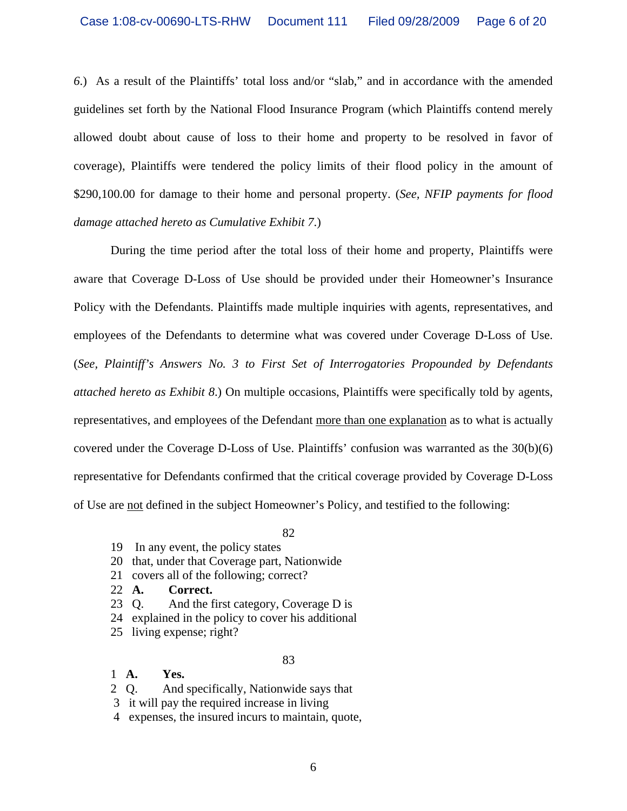*6*.) As a result of the Plaintiffs' total loss and/or "slab," and in accordance with the amended guidelines set forth by the National Flood Insurance Program (which Plaintiffs contend merely allowed doubt about cause of loss to their home and property to be resolved in favor of coverage), Plaintiffs were tendered the policy limits of their flood policy in the amount of \$290,100.00 for damage to their home and personal property. (*See, NFIP payments for flood damage attached hereto as Cumulative Exhibit 7*.)

 During the time period after the total loss of their home and property, Plaintiffs were aware that Coverage D-Loss of Use should be provided under their Homeowner's Insurance Policy with the Defendants. Plaintiffs made multiple inquiries with agents, representatives, and employees of the Defendants to determine what was covered under Coverage D-Loss of Use. (*See, Plaintiff's Answers No. 3 to First Set of Interrogatories Propounded by Defendants attached hereto as Exhibit 8*.) On multiple occasions, Plaintiffs were specifically told by agents, representatives, and employees of the Defendant more than one explanation as to what is actually covered under the Coverage D-Loss of Use. Plaintiffs' confusion was warranted as the 30(b)(6) representative for Defendants confirmed that the critical coverage provided by Coverage D-Loss of Use are not defined in the subject Homeowner's Policy, and testified to the following:

82

- 19 In any event, the policy states
- 20 that, under that Coverage part, Nationwide
- 21 covers all of the following; correct?
- 22 **A. Correct.**
- 23 Q. And the first category, Coverage D is
- 24 explained in the policy to cover his additional
- 25 living expense; right?

### 83

- 1 **A. Yes.**
- 2 Q. And specifically, Nationwide says that
- 3 it will pay the required increase in living
- 4 expenses, the insured incurs to maintain, quote,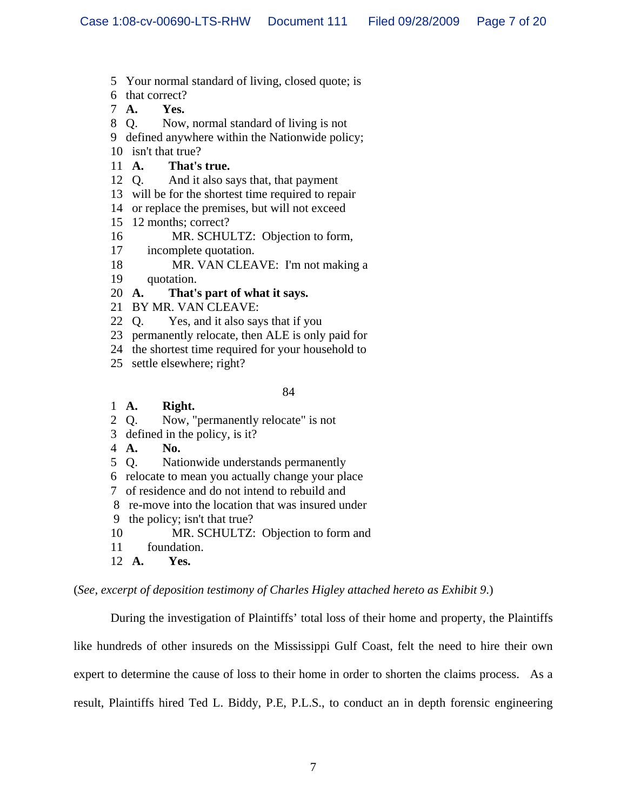- 5 Your normal standard of living, closed quote; is
- 6 that correct?
- 7 **A. Yes.**
- 8 Q. Now, normal standard of living is not
- 9 defined anywhere within the Nationwide policy;
- 10 isn't that true?
- 11 **A. That's true.**
- 12 Q. And it also says that, that payment
- 13 will be for the shortest time required to repair
- 14 or replace the premises, but will not exceed
- 15 12 months; correct?
- 16 MR. SCHULTZ: Objection to form,
- 17 incomplete quotation.
- 18 MR. VAN CLEAVE: I'm not making a
- 19 quotation.

# 20 **A. That's part of what it says.**

- 21 BY MR. VAN CLEAVE:
- 22 Q. Yes, and it also says that if you
- 23 permanently relocate, then ALE is only paid for
- 24 the shortest time required for your household to
- 25 settle elsewhere; right?

#### 84

# 1 **A. Right.**

- 2 Q. Now, "permanently relocate" is not
- 3 defined in the policy, is it?
- 4 **A. No.**
- 5 Q. Nationwide understands permanently
- 6 relocate to mean you actually change your place
- 7 of residence and do not intend to rebuild and
- 8 re-move into the location that was insured under
- 9 the policy; isn't that true?
- 10 MR. SCHULTZ: Objection to form and
- 11 foundation.
- 12 **A. Yes.**

(*See, excerpt of deposition testimony of Charles Higley attached hereto as Exhibit 9*.)

 During the investigation of Plaintiffs' total loss of their home and property, the Plaintiffs like hundreds of other insureds on the Mississippi Gulf Coast, felt the need to hire their own expert to determine the cause of loss to their home in order to shorten the claims process. As a result, Plaintiffs hired Ted L. Biddy, P.E, P.L.S., to conduct an in depth forensic engineering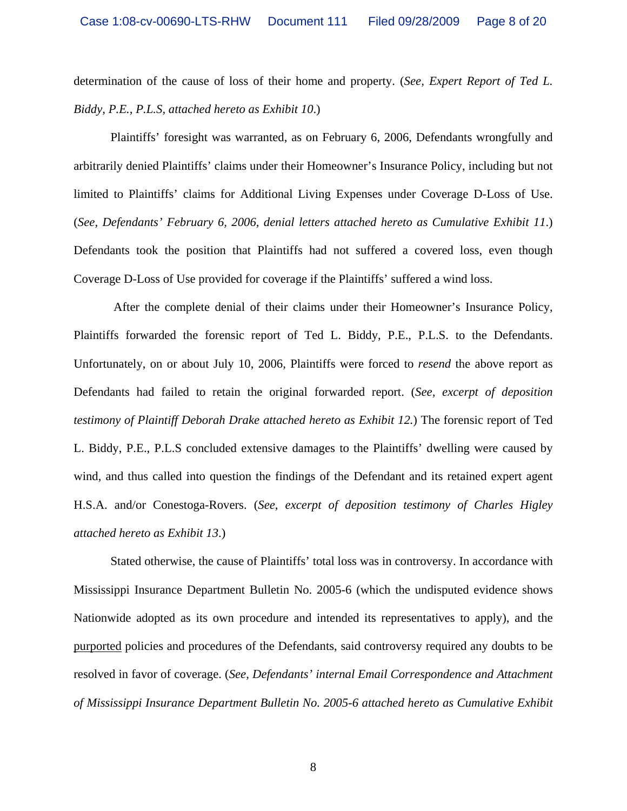determination of the cause of loss of their home and property. (*See, Expert Report of Ted L. Biddy, P.E., P.L.S, attached hereto as Exhibit 10*.)

 Plaintiffs' foresight was warranted, as on February 6, 2006, Defendants wrongfully and arbitrarily denied Plaintiffs' claims under their Homeowner's Insurance Policy, including but not limited to Plaintiffs' claims for Additional Living Expenses under Coverage D-Loss of Use. (*See, Defendants' February 6, 2006, denial letters attached hereto as Cumulative Exhibit 11*.) Defendants took the position that Plaintiffs had not suffered a covered loss, even though Coverage D-Loss of Use provided for coverage if the Plaintiffs' suffered a wind loss.

 After the complete denial of their claims under their Homeowner's Insurance Policy, Plaintiffs forwarded the forensic report of Ted L. Biddy, P.E., P.L.S. to the Defendants. Unfortunately, on or about July 10, 2006, Plaintiffs were forced to *resend* the above report as Defendants had failed to retain the original forwarded report. (*See, excerpt of deposition testimony of Plaintiff Deborah Drake attached hereto as Exhibit 12.*) The forensic report of Ted L. Biddy, P.E., P.L.S concluded extensive damages to the Plaintiffs' dwelling were caused by wind, and thus called into question the findings of the Defendant and its retained expert agent H.S.A. and/or Conestoga-Rovers. (*See, excerpt of deposition testimony of Charles Higley attached hereto as Exhibit 13*.)

 Stated otherwise, the cause of Plaintiffs' total loss was in controversy. In accordance with Mississippi Insurance Department Bulletin No. 2005-6 (which the undisputed evidence shows Nationwide adopted as its own procedure and intended its representatives to apply), and the purported policies and procedures of the Defendants, said controversy required any doubts to be resolved in favor of coverage. (*See, Defendants' internal Email Correspondence and Attachment of Mississippi Insurance Department Bulletin No. 2005-6 attached hereto as Cumulative Exhibit*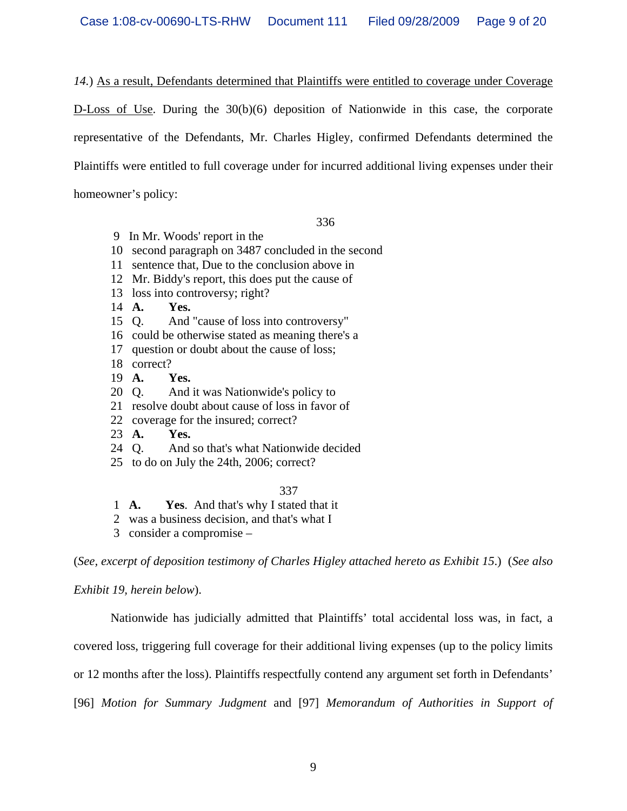*14.*) As a result, Defendants determined that Plaintiffs were entitled to coverage under Coverage

D-Loss of Use. During the 30(b)(6) deposition of Nationwide in this case, the corporate representative of the Defendants, Mr. Charles Higley, confirmed Defendants determined the Plaintiffs were entitled to full coverage under for incurred additional living expenses under their homeowner's policy:

336

- 9 In Mr. Woods' report in the
- 10 second paragraph on 3487 concluded in the second
- 11 sentence that, Due to the conclusion above in
- 12 Mr. Biddy's report, this does put the cause of
- 13 loss into controversy; right?
- 14 **A. Yes.**
- 15 Q. And "cause of loss into controversy"
- 16 could be otherwise stated as meaning there's a
- 17 question or doubt about the cause of loss;
- 18 correct?
- 19 **A. Yes.**
- 20 Q. And it was Nationwide's policy to
- 21 resolve doubt about cause of loss in favor of
- 22 coverage for the insured; correct?
- 23 **A. Yes.**
- 24 Q. And so that's what Nationwide decided
- 25 to do on July the 24th, 2006; correct?

## 337

1 **A. Yes**. And that's why I stated that it

2 was a business decision, and that's what I

3 consider a compromise –

(*See, excerpt of deposition testimony of Charles Higley attached hereto as Exhibit 15*.) (*See also* 

### *Exhibit 19, herein below*).

 Nationwide has judicially admitted that Plaintiffs' total accidental loss was, in fact, a covered loss, triggering full coverage for their additional living expenses (up to the policy limits or 12 months after the loss). Plaintiffs respectfully contend any argument set forth in Defendants' [96] *Motion for Summary Judgment* and [97] *Memorandum of Authorities in Support of*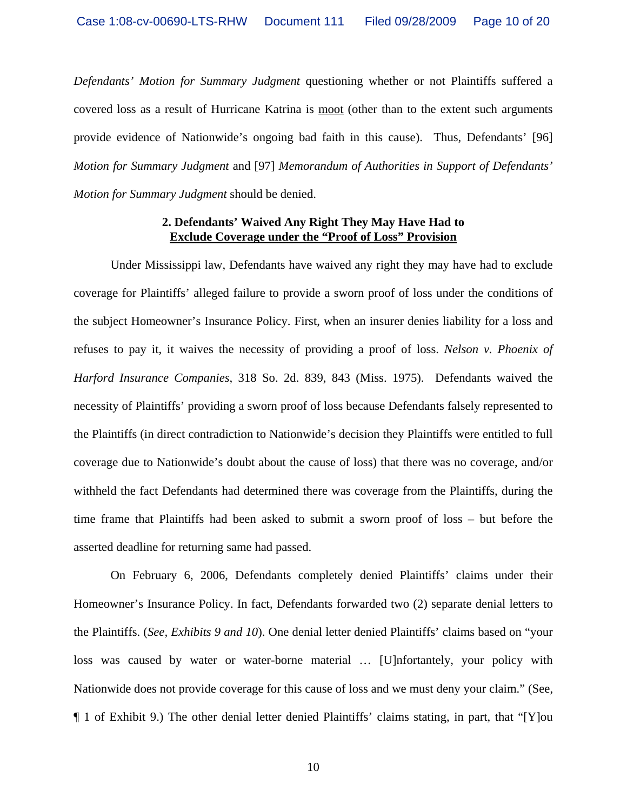*Defendants' Motion for Summary Judgment* questioning whether or not Plaintiffs suffered a covered loss as a result of Hurricane Katrina is moot (other than to the extent such arguments provide evidence of Nationwide's ongoing bad faith in this cause). Thus, Defendants' [96] *Motion for Summary Judgment* and [97] *Memorandum of Authorities in Support of Defendants' Motion for Summary Judgment* should be denied.

#### **2. Defendants' Waived Any Right They May Have Had to Exclude Coverage under the "Proof of Loss" Provision**

 Under Mississippi law, Defendants have waived any right they may have had to exclude coverage for Plaintiffs' alleged failure to provide a sworn proof of loss under the conditions of the subject Homeowner's Insurance Policy. First, when an insurer denies liability for a loss and refuses to pay it, it waives the necessity of providing a proof of loss. *Nelson v. Phoenix of Harford Insurance Companies*, 318 So. 2d. 839, 843 (Miss. 1975). Defendants waived the necessity of Plaintiffs' providing a sworn proof of loss because Defendants falsely represented to the Plaintiffs (in direct contradiction to Nationwide's decision they Plaintiffs were entitled to full coverage due to Nationwide's doubt about the cause of loss) that there was no coverage, and/or withheld the fact Defendants had determined there was coverage from the Plaintiffs, during the time frame that Plaintiffs had been asked to submit a sworn proof of loss – but before the asserted deadline for returning same had passed.

 On February 6, 2006, Defendants completely denied Plaintiffs' claims under their Homeowner's Insurance Policy. In fact, Defendants forwarded two (2) separate denial letters to the Plaintiffs. (*See, Exhibits 9 and 10*). One denial letter denied Plaintiffs' claims based on "your loss was caused by water or water-borne material … [U]nfortantely, your policy with Nationwide does not provide coverage for this cause of loss and we must deny your claim." (See, ¶ 1 of Exhibit 9.) The other denial letter denied Plaintiffs' claims stating, in part, that "[Y]ou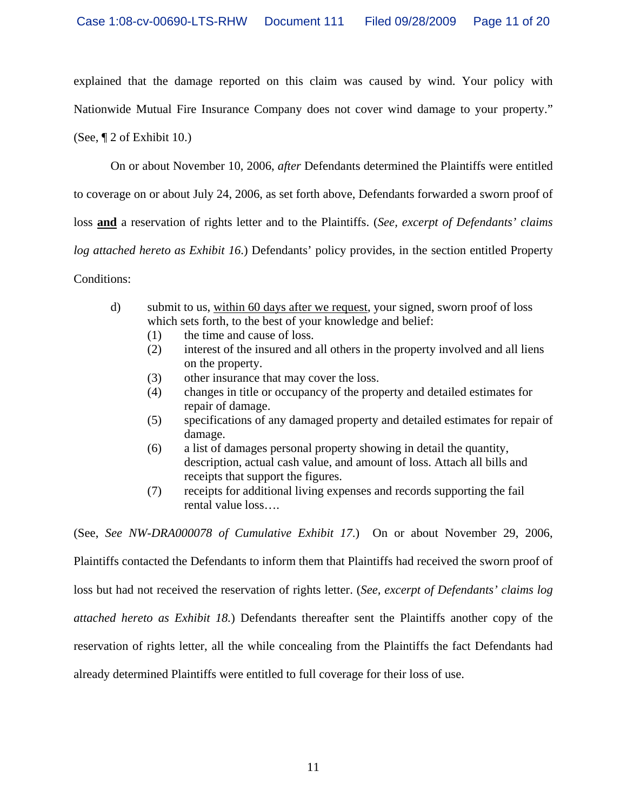explained that the damage reported on this claim was caused by wind. Your policy with Nationwide Mutual Fire Insurance Company does not cover wind damage to your property." (See, ¶ 2 of Exhibit 10.)

 On or about November 10, 2006, *after* Defendants determined the Plaintiffs were entitled to coverage on or about July 24, 2006, as set forth above, Defendants forwarded a sworn proof of loss **and** a reservation of rights letter and to the Plaintiffs. (*See, excerpt of Defendants' claims log attached hereto as Exhibit 16*.) Defendants' policy provides, in the section entitled Property Conditions:

- d) submit to us, within 60 days after we request, your signed, sworn proof of loss which sets forth, to the best of your knowledge and belief:
	- (1) the time and cause of loss.
	- (2) interest of the insured and all others in the property involved and all liens on the property.
	- (3) other insurance that may cover the loss.
	- (4) changes in title or occupancy of the property and detailed estimates for repair of damage.
	- (5) specifications of any damaged property and detailed estimates for repair of damage.
	- (6) a list of damages personal property showing in detail the quantity, description, actual cash value, and amount of loss. Attach all bills and receipts that support the figures.
	- (7) receipts for additional living expenses and records supporting the fail rental value loss….

(See, *See NW-DRA000078 of Cumulative Exhibit 17*.) On or about November 29, 2006,

Plaintiffs contacted the Defendants to inform them that Plaintiffs had received the sworn proof of

loss but had not received the reservation of rights letter. (*See, excerpt of Defendants' claims log* 

*attached hereto as Exhibit 18.*) Defendants thereafter sent the Plaintiffs another copy of the

reservation of rights letter, all the while concealing from the Plaintiffs the fact Defendants had

already determined Plaintiffs were entitled to full coverage for their loss of use.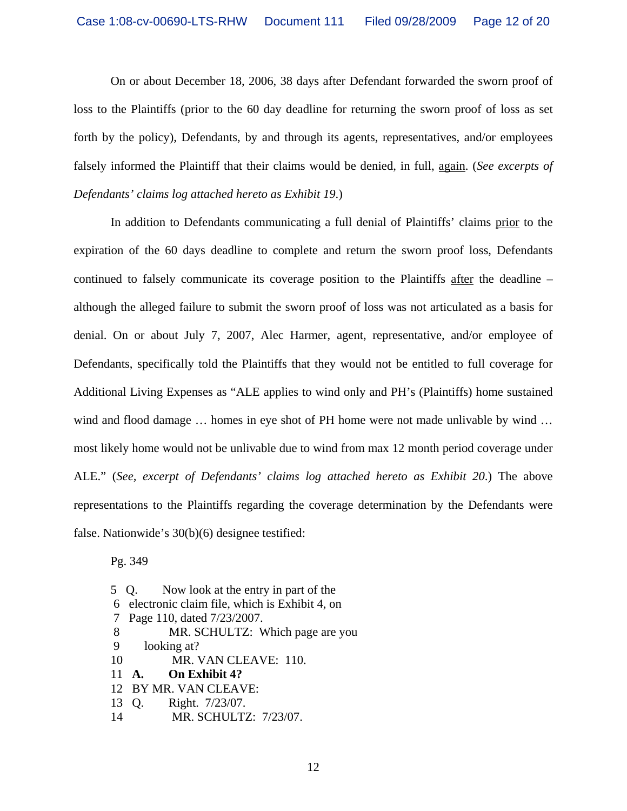On or about December 18, 2006, 38 days after Defendant forwarded the sworn proof of loss to the Plaintiffs (prior to the 60 day deadline for returning the sworn proof of loss as set forth by the policy), Defendants, by and through its agents, representatives, and/or employees falsely informed the Plaintiff that their claims would be denied, in full, again. (*See excerpts of Defendants' claims log attached hereto as Exhibit 19*.)

 In addition to Defendants communicating a full denial of Plaintiffs' claims prior to the expiration of the 60 days deadline to complete and return the sworn proof loss, Defendants continued to falsely communicate its coverage position to the Plaintiffs after the deadline – although the alleged failure to submit the sworn proof of loss was not articulated as a basis for denial. On or about July 7, 2007, Alec Harmer, agent, representative, and/or employee of Defendants, specifically told the Plaintiffs that they would not be entitled to full coverage for Additional Living Expenses as "ALE applies to wind only and PH's (Plaintiffs) home sustained wind and flood damage ... homes in eye shot of PH home were not made unlivable by wind ... most likely home would not be unlivable due to wind from max 12 month period coverage under ALE." (*See, excerpt of Defendants' claims log attached hereto as Exhibit 20*.) The above representations to the Plaintiffs regarding the coverage determination by the Defendants were false. Nationwide's 30(b)(6) designee testified:

Pg. 349

5 Q. Now look at the entry in part of the 6 electronic claim file, which is Exhibit 4, on 7 Page 110, dated 7/23/2007. 8 MR. SCHULTZ: Which page are you 9 looking at? 10 MR. VAN CLEAVE: 110. 11 **A. On Exhibit 4?** 12 BY MR. VAN CLEAVE: 13 Q. Right. 7/23/07. 14 MR. SCHULTZ: 7/23/07.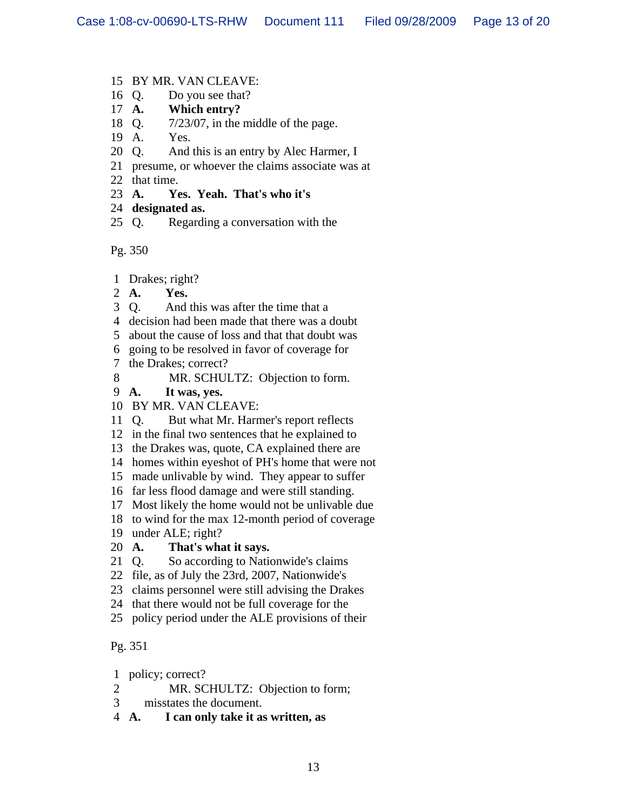- 15 BY MR. VAN CLEAVE:
- 16 Q. Do you see that?
- 17 **A. Which entry?**
- 18 Q. 7/23/07, in the middle of the page.
- 19 A. Yes.
- 20 Q. And this is an entry by Alec Harmer, I
- 21 presume, or whoever the claims associate was at
- 22 that time.
- 23 **A. Yes. Yeah. That's who it's**
- 24 **designated as.**
- 25 Q. Regarding a conversation with the

Pg. 350

- 1 Drakes; right?
- 2 **A. Yes.**
- 3 Q. And this was after the time that a
- 4 decision had been made that there was a doubt
- 5 about the cause of loss and that that doubt was
- 6 going to be resolved in favor of coverage for
- 7 the Drakes; correct?
- 8 MR. SCHULTZ: Objection to form.
- 9 **A. It was, yes.**
- 10 BY MR. VAN CLEAVE:
- 11 Q. But what Mr. Harmer's report reflects
- 12 in the final two sentences that he explained to
- 13 the Drakes was, quote, CA explained there are
- 14 homes within eyeshot of PH's home that were not
- 15 made unlivable by wind. They appear to suffer
- 16 far less flood damage and were still standing.
- 17 Most likely the home would not be unlivable due
- 18 to wind for the max 12-month period of coverage
- 19 under ALE; right?
- 20 **A. That's what it says.**
- 21 Q. So according to Nationwide's claims
- 22 file, as of July the 23rd, 2007, Nationwide's
- 23 claims personnel were still advising the Drakes
- 24 that there would not be full coverage for the
- 25 policy period under the ALE provisions of their

# Pg. 351

- 1 policy; correct?
- 2 MR. SCHULTZ: Objection to form;
- 3 misstates the document.
- 4 **A. I can only take it as written, as**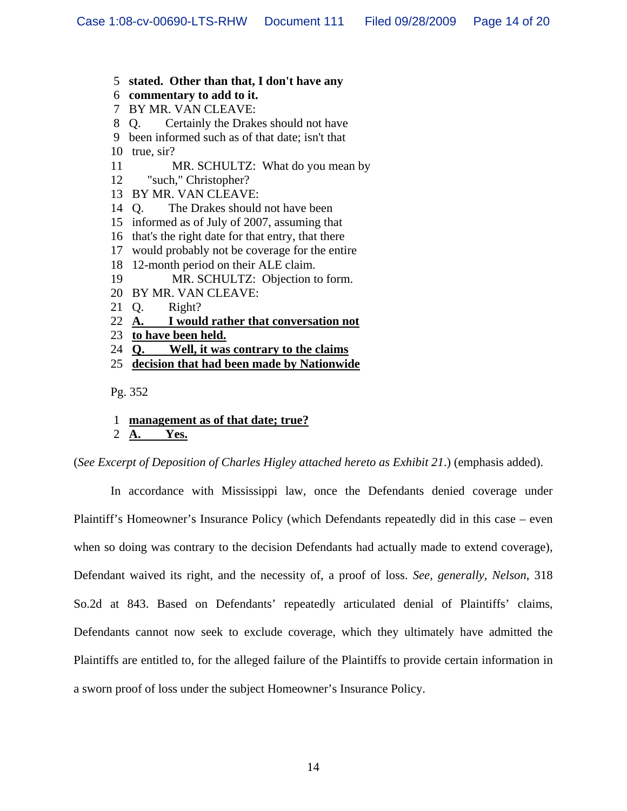- 5 **stated. Other than that, I don't have any**
- 6 **commentary to add to it.**
- 7 BY MR. VAN CLEAVE:
- 8 Q. Certainly the Drakes should not have
- 9 been informed such as of that date; isn't that
- 10 true, sir?
- 11 MR. SCHULTZ: What do you mean by
- 12 "such," Christopher?
- 13 BY MR. VAN CLEAVE:
- 14 Q. The Drakes should not have been
- 15 informed as of July of 2007, assuming that
- 16 that's the right date for that entry, that there
- 17 would probably not be coverage for the entire
- 18 12-month period on their ALE claim.
- 19 MR. SCHULTZ: Objection to form.
- 20 BY MR. VAN CLEAVE:
- 21 Q. Right?
- 22 **A. I would rather that conversation not**
- 23 **to have been held.**
- 24 **Q. Well, it was contrary to the claims**
- 25 **decision that had been made by Nationwide**

Pg. 352

1 **management as of that date; true?**

#### 2 **A. Yes.**

(*See Excerpt of Deposition of Charles Higley attached hereto as Exhibit 21*.) (emphasis added).

In accordance with Mississippi law, once the Defendants denied coverage under Plaintiff's Homeowner's Insurance Policy (which Defendants repeatedly did in this case – even when so doing was contrary to the decision Defendants had actually made to extend coverage), Defendant waived its right, and the necessity of, a proof of loss. *See, generally, Nelson*, 318 So.2d at 843. Based on Defendants' repeatedly articulated denial of Plaintiffs' claims, Defendants cannot now seek to exclude coverage, which they ultimately have admitted the Plaintiffs are entitled to, for the alleged failure of the Plaintiffs to provide certain information in a sworn proof of loss under the subject Homeowner's Insurance Policy.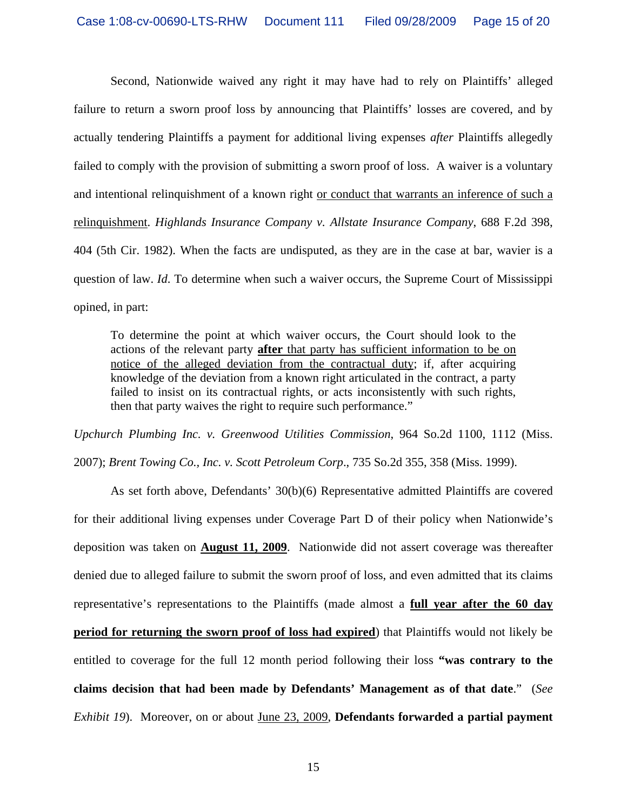Second, Nationwide waived any right it may have had to rely on Plaintiffs' alleged failure to return a sworn proof loss by announcing that Plaintiffs' losses are covered, and by actually tendering Plaintiffs a payment for additional living expenses *after* Plaintiffs allegedly failed to comply with the provision of submitting a sworn proof of loss. A waiver is a voluntary and intentional relinquishment of a known right or conduct that warrants an inference of such a relinquishment. *Highlands Insurance Company v. Allstate Insurance Company*, 688 F.2d 398, 404 (5th Cir. 1982). When the facts are undisputed, as they are in the case at bar, wavier is a question of law. *Id*. To determine when such a waiver occurs, the Supreme Court of Mississippi opined, in part:

To determine the point at which waiver occurs, the Court should look to the actions of the relevant party **after** that party has sufficient information to be on notice of the alleged deviation from the contractual duty; if, after acquiring knowledge of the deviation from a known right articulated in the contract, a party failed to insist on its contractual rights, or acts inconsistently with such rights, then that party waives the right to require such performance."

*Upchurch Plumbing Inc. v. Greenwood Utilities Commission*, 964 So.2d 1100, 1112 (Miss. 2007); *Brent Towing Co., Inc. v. Scott Petroleum Corp*., 735 So.2d 355, 358 (Miss. 1999).

As set forth above, Defendants' 30(b)(6) Representative admitted Plaintiffs are covered for their additional living expenses under Coverage Part D of their policy when Nationwide's deposition was taken on **August 11, 2009**. Nationwide did not assert coverage was thereafter denied due to alleged failure to submit the sworn proof of loss, and even admitted that its claims representative's representations to the Plaintiffs (made almost a **full year after the 60 day period for returning the sworn proof of loss had expired**) that Plaintiffs would not likely be entitled to coverage for the full 12 month period following their loss **"was contrary to the claims decision that had been made by Defendants' Management as of that date**." (*See Exhibit 19*). Moreover, on or about June 23, 2009, **Defendants forwarded a partial payment**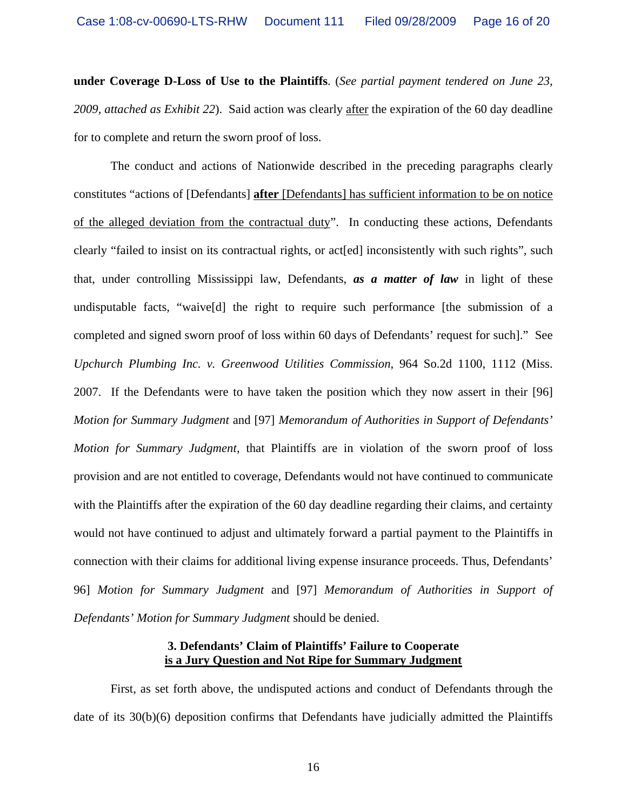**under Coverage D-Loss of Use to the Plaintiffs**. (*See partial payment tendered on June 23, 2009, attached as Exhibit 22*). Said action was clearly after the expiration of the 60 day deadline for to complete and return the sworn proof of loss.

 The conduct and actions of Nationwide described in the preceding paragraphs clearly constitutes "actions of [Defendants] **after** [Defendants] has sufficient information to be on notice of the alleged deviation from the contractual duty". In conducting these actions, Defendants clearly "failed to insist on its contractual rights, or act[ed] inconsistently with such rights", such that, under controlling Mississippi law, Defendants, *as a matter of law* in light of these undisputable facts, "waive[d] the right to require such performance [the submission of a completed and signed sworn proof of loss within 60 days of Defendants' request for such]." See *Upchurch Plumbing Inc. v. Greenwood Utilities Commission*, 964 So.2d 1100, 1112 (Miss. 2007. If the Defendants were to have taken the position which they now assert in their [96] *Motion for Summary Judgment* and [97] *Memorandum of Authorities in Support of Defendants' Motion for Summary Judgment*, that Plaintiffs are in violation of the sworn proof of loss provision and are not entitled to coverage, Defendants would not have continued to communicate with the Plaintiffs after the expiration of the 60 day deadline regarding their claims, and certainty would not have continued to adjust and ultimately forward a partial payment to the Plaintiffs in connection with their claims for additional living expense insurance proceeds. Thus, Defendants' 96] *Motion for Summary Judgment* and [97] *Memorandum of Authorities in Support of Defendants' Motion for Summary Judgment* should be denied.

#### **3. Defendants' Claim of Plaintiffs' Failure to Cooperate is a Jury Question and Not Ripe for Summary Judgment**

 First, as set forth above, the undisputed actions and conduct of Defendants through the date of its 30(b)(6) deposition confirms that Defendants have judicially admitted the Plaintiffs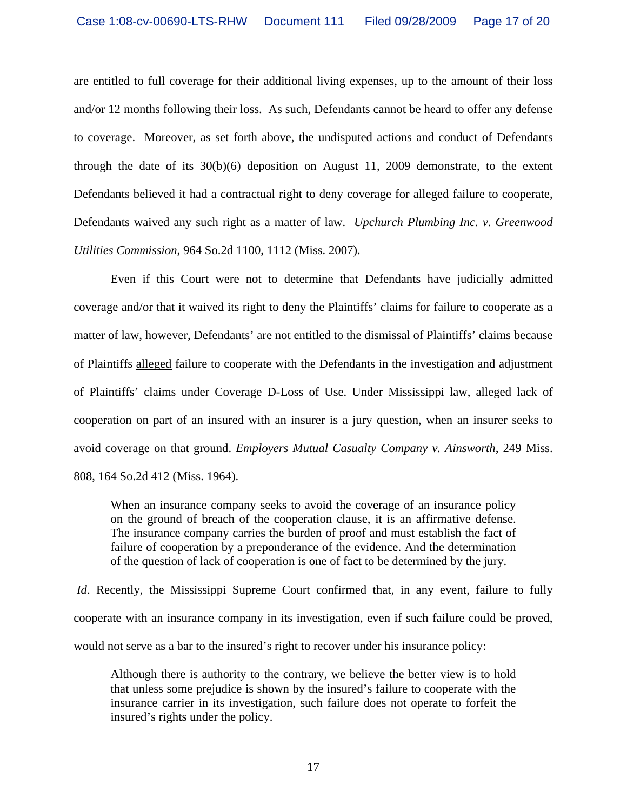are entitled to full coverage for their additional living expenses, up to the amount of their loss and/or 12 months following their loss. As such, Defendants cannot be heard to offer any defense to coverage. Moreover, as set forth above, the undisputed actions and conduct of Defendants through the date of its 30(b)(6) deposition on August 11, 2009 demonstrate, to the extent Defendants believed it had a contractual right to deny coverage for alleged failure to cooperate, Defendants waived any such right as a matter of law. *Upchurch Plumbing Inc. v. Greenwood Utilities Commission*, 964 So.2d 1100, 1112 (Miss. 2007).

Even if this Court were not to determine that Defendants have judicially admitted coverage and/or that it waived its right to deny the Plaintiffs' claims for failure to cooperate as a matter of law, however, Defendants' are not entitled to the dismissal of Plaintiffs' claims because of Plaintiffs alleged failure to cooperate with the Defendants in the investigation and adjustment of Plaintiffs' claims under Coverage D-Loss of Use. Under Mississippi law, alleged lack of cooperation on part of an insured with an insurer is a jury question, when an insurer seeks to avoid coverage on that ground. *Employers Mutual Casualty Company v. Ainsworth*, 249 Miss. 808, 164 So.2d 412 (Miss. 1964).

When an insurance company seeks to avoid the coverage of an insurance policy on the ground of breach of the cooperation clause, it is an affirmative defense. The insurance company carries the burden of proof and must establish the fact of failure of cooperation by a preponderance of the evidence. And the determination of the question of lack of cooperation is one of fact to be determined by the jury.

*Id.* Recently, the Mississippi Supreme Court confirmed that, in any event, failure to fully cooperate with an insurance company in its investigation, even if such failure could be proved, would not serve as a bar to the insured's right to recover under his insurance policy:

Although there is authority to the contrary, we believe the better view is to hold that unless some prejudice is shown by the insured's failure to cooperate with the insurance carrier in its investigation, such failure does not operate to forfeit the insured's rights under the policy.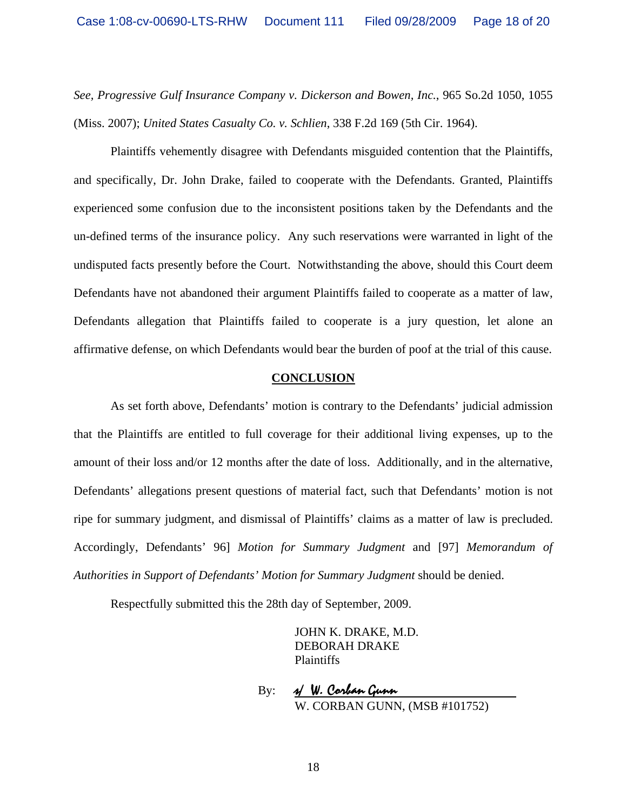*See, Progressive Gulf Insurance Company v. Dickerson and Bowen, Inc.*, 965 So.2d 1050, 1055 (Miss. 2007); *United States Casualty Co. v. Schlien*, 338 F.2d 169 (5th Cir. 1964).

 Plaintiffs vehemently disagree with Defendants misguided contention that the Plaintiffs, and specifically, Dr. John Drake, failed to cooperate with the Defendants. Granted, Plaintiffs experienced some confusion due to the inconsistent positions taken by the Defendants and the un-defined terms of the insurance policy. Any such reservations were warranted in light of the undisputed facts presently before the Court. Notwithstanding the above, should this Court deem Defendants have not abandoned their argument Plaintiffs failed to cooperate as a matter of law, Defendants allegation that Plaintiffs failed to cooperate is a jury question, let alone an affirmative defense, on which Defendants would bear the burden of poof at the trial of this cause.

#### **CONCLUSION**

As set forth above, Defendants' motion is contrary to the Defendants' judicial admission that the Plaintiffs are entitled to full coverage for their additional living expenses, up to the amount of their loss and/or 12 months after the date of loss. Additionally, and in the alternative, Defendants' allegations present questions of material fact, such that Defendants' motion is not ripe for summary judgment, and dismissal of Plaintiffs' claims as a matter of law is precluded. Accordingly, Defendants' 96] *Motion for Summary Judgment* and [97] *Memorandum of Authorities in Support of Defendants' Motion for Summary Judgment* should be denied.

Respectfully submitted this the 28th day of September, 2009.

 JOHN K. DRAKE, M.D. DEBORAH DRAKE Plaintiffs

By: 
$$
\frac{y}{W} \cdot \frac{\text{Corkan Gunn}}{\text{W. CORBAN GUNN, (MSB #101752)}}
$$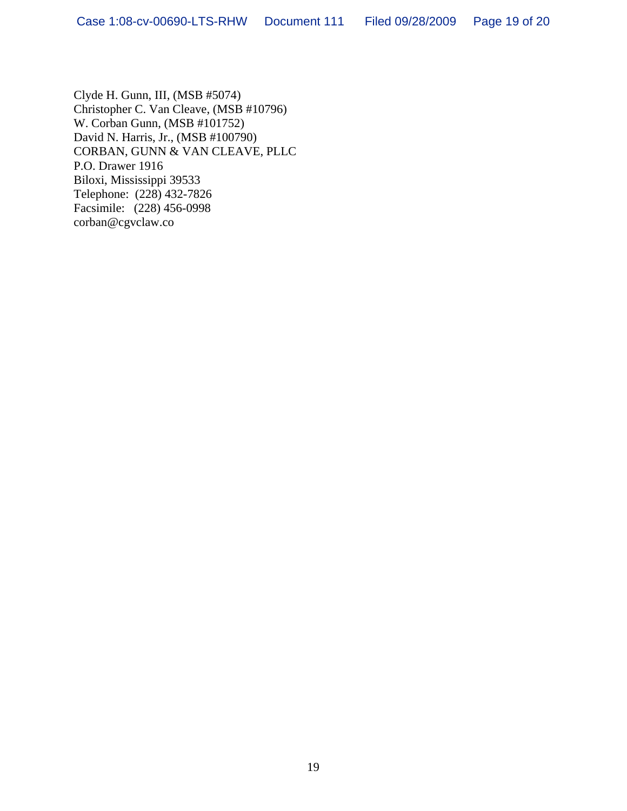Clyde H. Gunn, III, (MSB #5074) Christopher C. Van Cleave, (MSB #10796) W. Corban Gunn, (MSB #101752) David N. Harris, Jr., (MSB #100790) CORBAN, GUNN & VAN CLEAVE, PLLC P.O. Drawer 1916 Biloxi, Mississippi 39533 Telephone: (228) 432-7826 Facsimile: (228) 456-0998 corban@cgvclaw.co